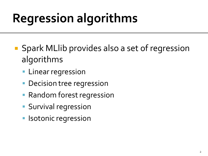- Spark MLlib provides also a set of regression algorithms
	- **Linear regression**
	- Decision tree regression
	- **Random forest regression**
	- **Survival regression**
	- Isotonic regression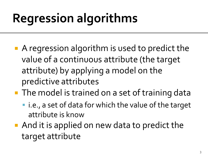- A regression algorithm is used to predict the value of a continuous attribute (the target attribute) by applying a model on the predictive attributes
- The model is trained on a set of training data
	- i.e., a set of data for which the value of the target attribute is know
- And it is applied on new data to predict the target attribute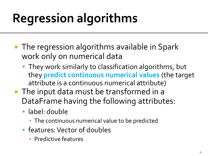- **The regression algorithms available in Spark** work only on numerical data
	- **They work similarly to classification algorithms, but** they **predict continuous numerical values** (the target attribute is a continuous numerical attribute)
- **The input data must be transformed in a** DataFrame having the following attributes:
	- label: double
		- **· The continuous numerical value to be predicted**
	- **F** features: Vector of doubles
		- Predictive features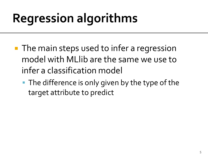- **The main steps used to infer a regression** model with MLlib are the same we use to infer a classification model
	- The difference is only given by the type of the target attribute to predict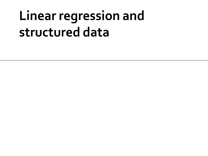# Linear regression and structured data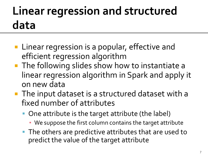### Linear regression and structured data

- **Linear regression is a popular, effective and** efficient regression algorithm
- **The following slides show how to instantiate a** linear regression algorithm in Spark and apply it on new data
- The input dataset is a structured dataset with a fixed number of attributes
	- One attribute is the target attribute (the label)
		- We suppose the first column contains the target attribute
	- **The others are predictive attributes that are used to** predict the value of the target attribute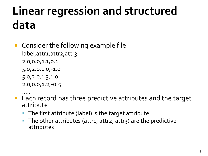#### **Linear regression and structured** data

- **Consider the following example file** label, attr1, attr2, attr3 2.0,0.0,1.1,0.1 5.0,2.0,1.0,-1.0 5.0,2.0,1.3,1.0
	- 2.0,0.0,1.2,-0.5
- …… ■ Each record has three predictive attributes and the target attribute
	- The first attribute (label) is the target attribute
	- The other attributes (attr1, attr2, attr3) are the predictive attributes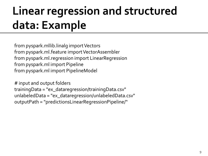from pyspark.mllib.linalg import Vectors from pyspark.ml.feature import VectorAssembler from pyspark.ml.regression import LinearRegression from pyspark.ml import Pipeline from pyspark.ml import PipelineModel

# input and output folders trainingData = "ex\_dataregression/trainingData.csv" unlabeledData = "ex\_dataregression/unlabeledData.csv" outputPath = "predictionsLinearRegressionPipeline/"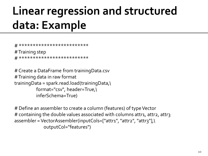```
# *************************
# Training step
# *************************
```

```
# Create a DataFrame from trainingData.csv
# Training data in raw format
trainingData = spark.read.load(trainingData,\
           format="csv", header=True,\
           inferSchema=True)
```
# Define an assembler to create a column (features) of type Vector # containing the double values associated with columns attr1, attr2, attr3 assembler = VectorAssembler(inputCols=["attr1", "attr2", "attr3"],\ outputCol="features")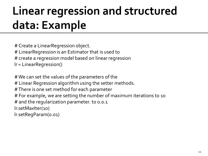# Create a LinearRegression object. # LinearRegression is an Estimator that is used to # create a regression model based on linear regression lr = LinearRegression()

# We can set the values of the parameters of the # Linear Regression algorithm using the setter methods. # There is one set method for each parameter # For example, we are setting the number of maximum iterations to 10 # and the regularization parameter. to 0.0.1 lr.setMaxIter(10) lr.setRegParam(0.01)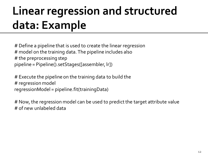# Define a pipeline that is used to create the linear regression # model on the training data. The pipeline includes also # the preprocessing step pipeline = Pipeline().setStages([assembler, lr])

# Execute the pipeline on the training data to build the # regression model regressionModel = pipeline.fit(trainingData)

# Now, the regression model can be used to predict the target attribute value # of new unlabeled data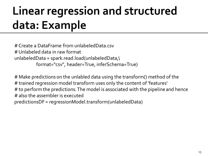# Create a DataFrame from unlabeledData.csv # Unlabeled data in raw format unlabeledData = spark.read.load(unlabeledData,\ format="csv", header=True, inferSchema=True)

# Make predictions on the unlabled data using the transform() method of the # trained regression model transform uses only the content of 'features' # to perform the predictions. The model is associated with the pipeline and hence # also the assembler is executed predictionsDF = regressionModel.transform(unlabeledData)

13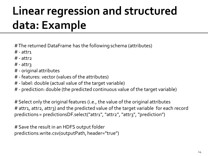- # The returned DataFrame has the following schema (attributes)
- $#$  attri
- $#$  attr2
- $#$  attr $\gamma$
- # original attributes
- # features: vector (values of the attributes)
- # label: double (actual value of the target variable)
- # prediction: double (the predicted continuous value of the target variable)

# Select only the original features (i.e., the value of the original attributes # attr1, attr2, attr3) and the predicted value of the target variable for each record predictions = predictionsDF.select("attr1", "attr2", "attr3", "prediction")

# Save the result in an HDFS output folder predictions.write.csv(outputPath, header="true")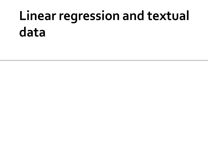# Linear regression and textual data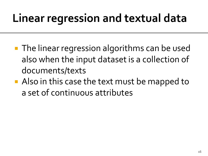### Linear regression and textual data

- **The linear regression algorithms can be used** also when the input dataset is a collection of documents/texts
- **Also in this case the text must be mapped to** a set of continuous attributes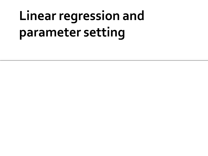# Linear regression and parameter setting